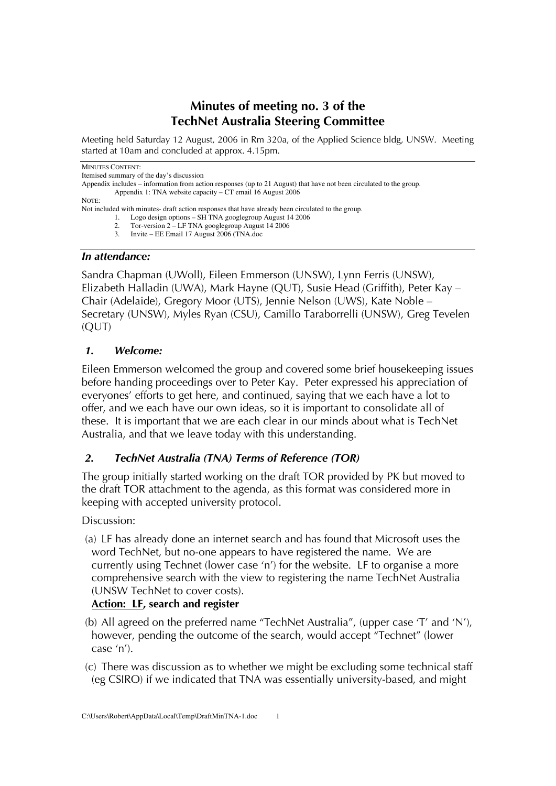# **Minutes of meeting no. 3 of the TechNet Australia Steering Committee**

Meeting held Saturday 12 August, 2006 in Rm 320a, of the Applied Science bldg, UNSW. Meeting started at 10am and concluded at approx. 4.15pm.

#### MINUTES CONTENT:

Itemised summary of the day's discussion

Appendix includes – information from action responses (up to 21 August) that have not been circulated to the group. Appendix 1: TNA website capacity – CT email 16 August 2006

NOTE:

Not included with minutes- draft action responses that have already been circulated to the group.

- 1. Logo design options SH TNA googlegroup August 14 2006
- 2. Tor-version 2 LF TNA googlegroup August 14 2006
- 3. Invite EE Email 17 August 2006 (TNA.doc

#### *In attendance:*

Sandra Chapman (UWoll), Eileen Emmerson (UNSW), Lynn Ferris (UNSW), Elizabeth Halladin (UWA), Mark Hayne (QUT), Susie Head (Griffith), Peter Kay – Chair (Adelaide), Gregory Moor (UTS), Jennie Nelson (UWS), Kate Noble – Secretary (UNSW), Myles Ryan (CSU), Camillo Taraborrelli (UNSW), Greg Tevelen  $(OUT)$ 

### *1. Welcome:*

Eileen Emmerson welcomed the group and covered some brief housekeeping issues before handing proceedings over to Peter Kay. Peter expressed his appreciation of everyones' efforts to get here, and continued, saying that we each have a lot to offer, and we each have our own ideas, so it is important to consolidate all of these. It is important that we are each clear in our minds about what is TechNet Australia, and that we leave today with this understanding.

### *2. TechNet Australia (TNA) Terms of Reference (TOR)*

The group initially started working on the draft TOR provided by PK but moved to the draft TOR attachment to the agenda, as this format was considered more in keeping with accepted university protocol.

#### Discussion:

(a) LF has already done an internet search and has found that Microsoft uses the word TechNet, but no-one appears to have registered the name. We are currently using Technet (lower case 'n') for the website. LF to organise a more comprehensive search with the view to registering the name TechNet Australia (UNSW TechNet to cover costs).

### **Action: LF, search and register**

- (b) All agreed on the preferred name "TechNet Australia", (upper case 'T' and 'N'), however, pending the outcome of the search, would accept "Technet" (lower case 'n').
- (c) There was discussion as to whether we might be excluding some technical staff (eg CSIRO) if we indicated that TNA was essentially university-based, and might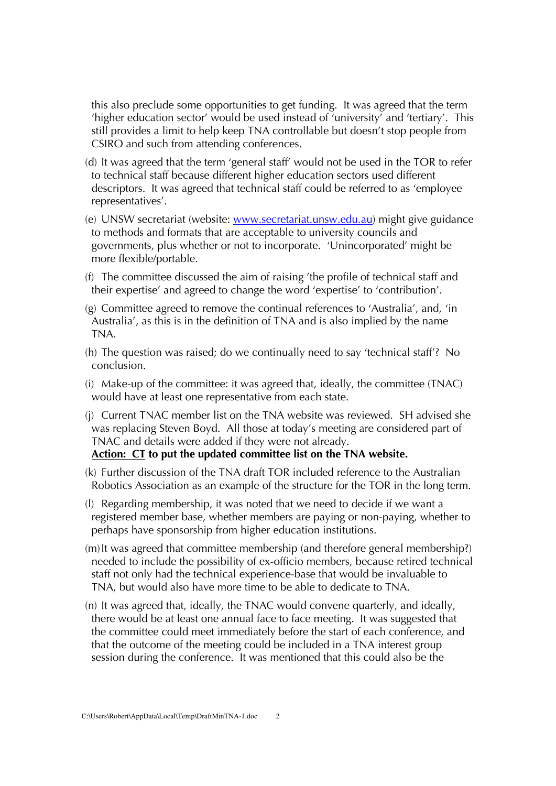this also preclude some opportunities to get funding. It was agreed that the term 'higher education sector' would be used instead of 'university' and 'tertiary'. This still provides a limit to help keep TNA controllable but doesn't stop people from CSIRO and such from attending conferences.

- (d) It was agreed that the term 'general staff' would not be used in the TOR to refer to technical staff because different higher education sectors used different descriptors. It was agreed that technical staff could be referred to as 'employee representatives'.
- (e) UNSW secretariat (website: www.secretariat.unsw.edu.au) might give guidance to methods and formats that are acceptable to university councils and governments, plus whether or not to incorporate. 'Unincorporated' might be more flexible/portable.
- (f) The committee discussed the aim of raising 'the profile of technical staff and their expertise' and agreed to change the word 'expertise' to 'contribution'.
- (g) Committee agreed to remove the continual references to 'Australia', and, 'in Australia', as this is in the definition of TNA and is also implied by the name TNA.
- (h) The question was raised; do we continually need to say 'technical staff'? No conclusion.
- (i) Make-up of the committee: it was agreed that, ideally, the committee (TNAC) would have at least one representative from each state.
- (j) Current TNAC member list on the TNA website was reviewed. SH advised she was replacing Steven Boyd. All those at today's meeting are considered part of TNAC and details were added if they were not already.

### **Action: CT to put the updated committee list on the TNA website.**

- (k) Further discussion of the TNA draft TOR included reference to the Australian Robotics Association as an example of the structure for the TOR in the long term.
- (l) Regarding membership, it was noted that we need to decide if we want a registered member base, whether members are paying or non-paying, whether to perhaps have sponsorship from higher education institutions.
- (m)It was agreed that committee membership (and therefore general membership?) needed to include the possibility of ex-officio members, because retired technical staff not only had the technical experience-base that would be invaluable to TNA, but would also have more time to be able to dedicate to TNA.
- (n) It was agreed that, ideally, the TNAC would convene quarterly, and ideally, there would be at least one annual face to face meeting. It was suggested that the committee could meet immediately before the start of each conference, and that the outcome of the meeting could be included in a TNA interest group session during the conference. It was mentioned that this could also be the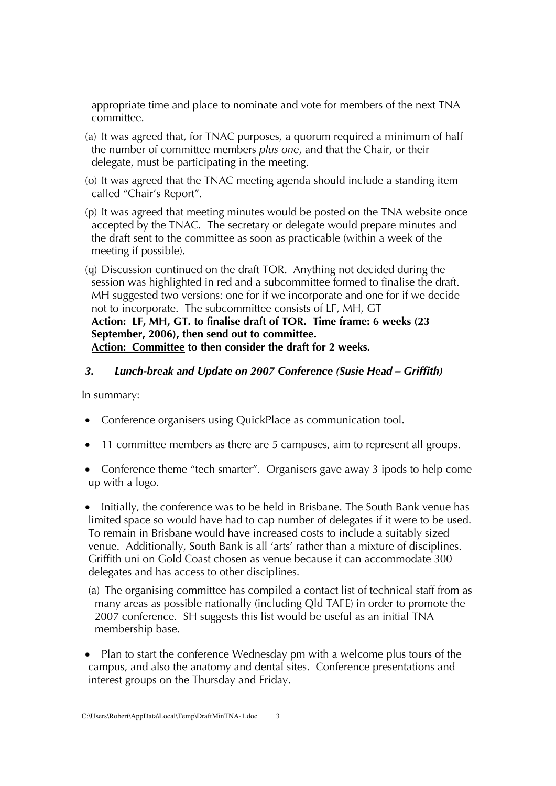appropriate time and place to nominate and vote for members of the next TNA committee.

- (a) It was agreed that, for TNAC purposes, a quorum required a minimum of half the number of committee members *plus one*, and that the Chair, or their delegate, must be participating in the meeting.
- (o) It was agreed that the TNAC meeting agenda should include a standing item called "Chair's Report".
- (p) It was agreed that meeting minutes would be posted on the TNA website once accepted by the TNAC. The secretary or delegate would prepare minutes and the draft sent to the committee as soon as practicable (within a week of the meeting if possible).
- (q) Discussion continued on the draft TOR. Anything not decided during the session was highlighted in red and a subcommittee formed to finalise the draft. MH suggested two versions: one for if we incorporate and one for if we decide not to incorporate. The subcommittee consists of LF, MH, GT **Action: LF, MH, GT. to finalise draft of TOR. Time frame: 6 weeks (23 September, 2006), then send out to committee. Action: Committee to then consider the draft for 2 weeks.**

# *3. Lunch-break and Update on 2007 Conference (Susie Head – Griffith)*

In summary:

- Conference organisers using QuickPlace as communication tool.
- 11 committee members as there are 5 campuses, aim to represent all groups.
- Conference theme "tech smarter". Organisers gave away 3 ipods to help come up with a logo.
- Initially, the conference was to be held in Brisbane. The South Bank venue has limited space so would have had to cap number of delegates if it were to be used. To remain in Brisbane would have increased costs to include a suitably sized venue. Additionally, South Bank is all 'arts' rather than a mixture of disciplines. Griffith uni on Gold Coast chosen as venue because it can accommodate 300 delegates and has access to other disciplines.
- (a) The organising committee has compiled a contact list of technical staff from as many areas as possible nationally (including Qld TAFE) in order to promote the 2007 conference. SH suggests this list would be useful as an initial TNA membership base.
- Plan to start the conference Wednesday pm with a welcome plus tours of the campus, and also the anatomy and dental sites. Conference presentations and interest groups on the Thursday and Friday.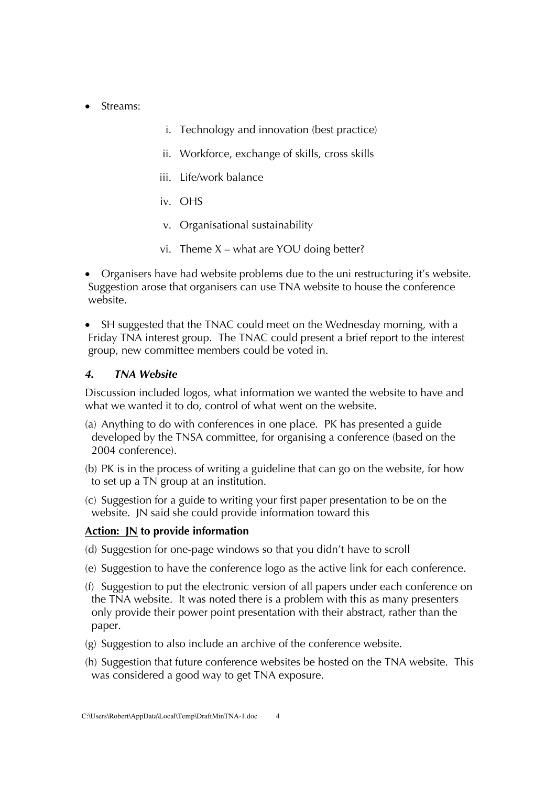- Streams:
- i. Technology and innovation (best practice)
- ii. Workforce, exchange of skills, cross skills
- iii. Life/work balance
- iv. OHS
- v. Organisational sustainability
- vi. Theme  $X$  what are YOU doing better?
- Organisers have had website problems due to the uni restructuring it's website. Suggestion arose that organisers can use TNA website to house the conference website.
- SH suggested that the TNAC could meet on the Wednesday morning, with a Friday TNA interest group. The TNAC could present a brief report to the interest group, new committee members could be voted in.

### *4. TNA Website*

Discussion included logos, what information we wanted the website to have and what we wanted it to do, control of what went on the website.

- (a) Anything to do with conferences in one place. PK has presented a guide developed by the TNSA committee, for organising a conference (based on the 2004 conference).
- (b) PK is in the process of writing a guideline that can go on the website, for how to set up a TN group at an institution.
- (c) Suggestion for a guide to writing your first paper presentation to be on the website. JN said she could provide information toward this

### **Action: JN to provide information**

- (d) Suggestion for one-page windows so that you didn't have to scroll
- (e) Suggestion to have the conference logo as the active link for each conference.
- (f) Suggestion to put the electronic version of all papers under each conference on the TNA website. It was noted there is a problem with this as many presenters only provide their power point presentation with their abstract, rather than the paper.
- (g) Suggestion to also include an archive of the conference website.
- (h) Suggestion that future conference websites be hosted on the TNA website. This was considered a good way to get TNA exposure.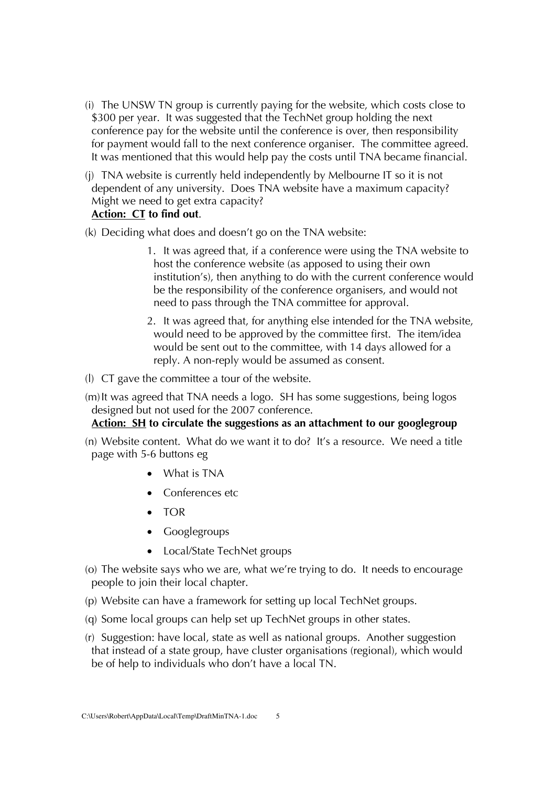- (i) The UNSW TN group is currently paying for the website, which costs close to \$300 per year. It was suggested that the TechNet group holding the next conference pay for the website until the conference is over, then responsibility for payment would fall to the next conference organiser. The committee agreed. It was mentioned that this would help pay the costs until TNA became financial.
- (j) TNA website is currently held independently by Melbourne IT so it is not dependent of any university. Does TNA website have a maximum capacity? Might we need to get extra capacity?

# **Action: CT to find out**.

- (k) Deciding what does and doesn't go on the TNA website:
	- 1. It was agreed that, if a conference were using the TNA website to host the conference website (as apposed to using their own institution's), then anything to do with the current conference would be the responsibility of the conference organisers, and would not need to pass through the TNA committee for approval.
	- 2. It was agreed that, for anything else intended for the TNA website, would need to be approved by the committee first. The item/idea would be sent out to the committee, with 14 days allowed for a reply. A non-reply would be assumed as consent.
- (l) CT gave the committee a tour of the website.
- (m)It was agreed that TNA needs a logo. SH has some suggestions, being logos designed but not used for the 2007 conference.

### **Action: SH to circulate the suggestions as an attachment to our googlegroup**

- (n) Website content. What do we want it to do? It's a resource. We need a title page with 5-6 buttons eg
	- What is TNA
	- Conferences etc
	- TOR
	- Googlegroups
	- Local/State TechNet groups
- (o) The website says who we are, what we're trying to do. It needs to encourage people to join their local chapter.
- (p) Website can have a framework for setting up local TechNet groups.
- (q) Some local groups can help set up TechNet groups in other states.
- (r) Suggestion: have local, state as well as national groups. Another suggestion that instead of a state group, have cluster organisations (regional), which would be of help to individuals who don't have a local TN.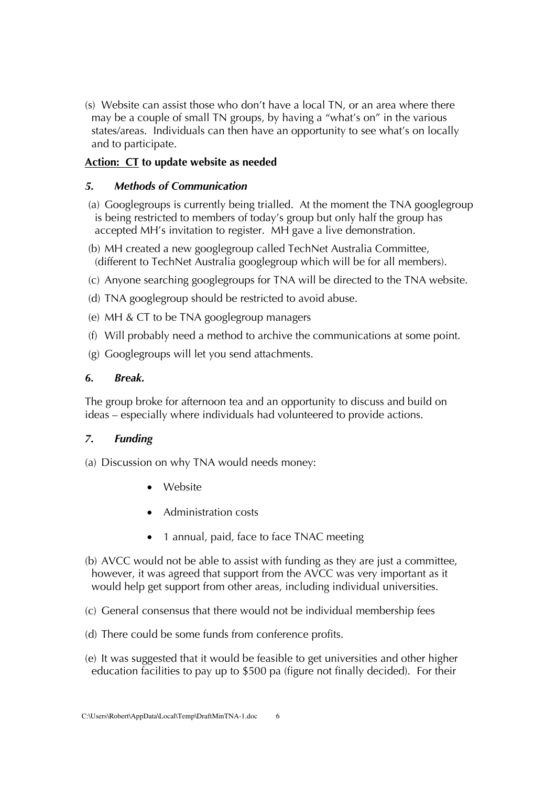(s) Website can assist those who don't have a local TN, or an area where there may be a couple of small TN groups, by having a "what's on" in the various states/areas. Individuals can then have an opportunity to see what's on locally and to participate.

# **Action: CT to update website as needed**

## *5. Methods of Communication*

- (a) Googlegroups is currently being trialled. At the moment the TNA googlegroup is being restricted to members of today's group but only half the group has accepted MH's invitation to register. MH gave a live demonstration.
- (b) MH created a new googlegroup called TechNet Australia Committee, (different to TechNet Australia googlegroup which will be for all members).
- (c) Anyone searching googlegroups for TNA will be directed to the TNA website.
- (d) TNA googlegroup should be restricted to avoid abuse.
- (e) MH & CT to be TNA googlegroup managers
- (f) Will probably need a method to archive the communications at some point.
- (g) Googlegroups will let you send attachments.

## *6. Break.*

The group broke for afternoon tea and an opportunity to discuss and build on ideas – especially where individuals had volunteered to provide actions.

# *7. Funding*

- (a) Discussion on why TNA would needs money:
	- Website
	- Administration costs
	- 1 annual, paid, face to face TNAC meeting
- (b) AVCC would not be able to assist with funding as they are just a committee, however, it was agreed that support from the AVCC was very important as it would help get support from other areas, including individual universities.
- (c) General consensus that there would not be individual membership fees
- (d) There could be some funds from conference profits.
- (e) It was suggested that it would be feasible to get universities and other higher education facilities to pay up to \$500 pa (figure not finally decided). For their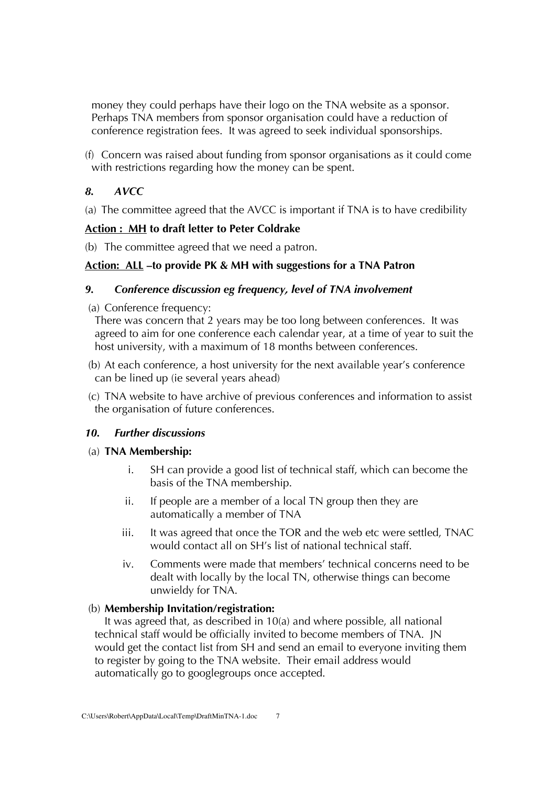money they could perhaps have their logo on the TNA website as a sponsor. Perhaps TNA members from sponsor organisation could have a reduction of conference registration fees. It was agreed to seek individual sponsorships.

(f) Concern was raised about funding from sponsor organisations as it could come with restrictions regarding how the money can be spent.

# *8. AVCC*

(a) The committee agreed that the AVCC is important if TNA is to have credibility

# **Action : MH to draft letter to Peter Coldrake**

(b) The committee agreed that we need a patron.

# **Action: ALL –to provide PK & MH with suggestions for a TNA Patron**

# *9. Conference discussion eg frequency, level of TNA involvement*

(a) Conference frequency:

There was concern that 2 years may be too long between conferences. It was agreed to aim for one conference each calendar year, at a time of year to suit the host university, with a maximum of 18 months between conferences.

- (b) At each conference, a host university for the next available year's conference can be lined up (ie several years ahead)
- (c) TNA website to have archive of previous conferences and information to assist the organisation of future conferences.

# *10. Further discussions*

# (a) **TNA Membership:**

- i. SH can provide a good list of technical staff, which can become the basis of the TNA membership.
- ii. If people are a member of a local TN group then they are automatically a member of TNA
- iii. It was agreed that once the TOR and the web etc were settled, TNAC would contact all on SH's list of national technical staff.
- iv. Comments were made that members' technical concerns need to be dealt with locally by the local TN, otherwise things can become unwieldy for TNA.

# (b) **Membership Invitation/registration:**

It was agreed that, as described in 10(a) and where possible, all national technical staff would be officially invited to become members of TNA. JN would get the contact list from SH and send an email to everyone inviting them to register by going to the TNA website. Their email address would automatically go to googlegroups once accepted.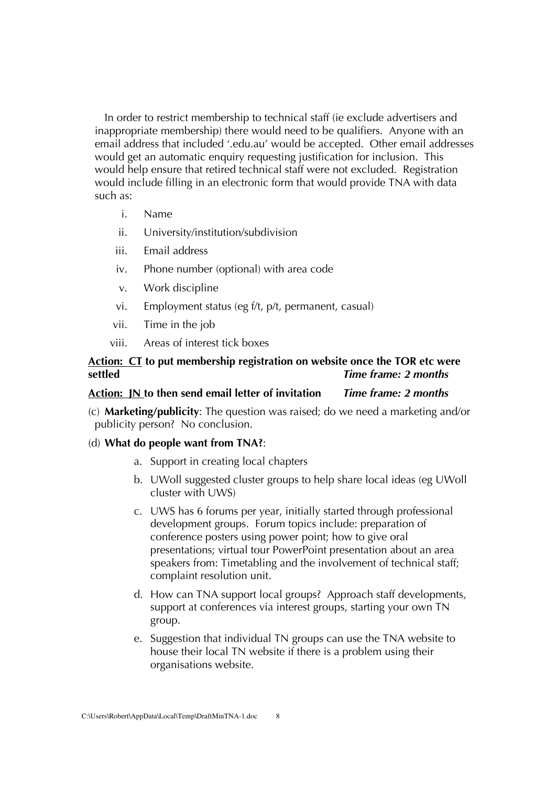In order to restrict membership to technical staff (ie exclude advertisers and inappropriate membership) there would need to be qualifiers. Anyone with an email address that included '.edu.au' would be accepted. Other email addresses would get an automatic enquiry requesting justification for inclusion. This would help ensure that retired technical staff were not excluded. Registration would include filling in an electronic form that would provide TNA with data such as:

- i. Name
- ii. University/institution/subdivision
- iii. Email address
- iv. Phone number (optional) with area code
- v. Work discipline
- vi. Employment status (eg f/t, p/t, permanent, casual)
- vii. Time in the job
- viii. Areas of interest tick boxes

### **Action: CT to put membership registration on website once the TOR etc were settled** *Time frame: 2 months*

### **Action: JN to then send email letter of invitation** *Time frame: 2 months*

(c) **Marketing/publicity**: The question was raised; do we need a marketing and/or publicity person? No conclusion.

#### (d) **What do people want from TNA?**:

- a. Support in creating local chapters
- b. UWoll suggested cluster groups to help share local ideas (eg UWoll cluster with UWS)
- c. UWS has 6 forums per year, initially started through professional development groups. Forum topics include: preparation of conference posters using power point; how to give oral presentations; virtual tour PowerPoint presentation about an area speakers from: Timetabling and the involvement of technical staff; complaint resolution unit.
- d. How can TNA support local groups? Approach staff developments, support at conferences via interest groups, starting your own TN group.
- e. Suggestion that individual TN groups can use the TNA website to house their local TN website if there is a problem using their organisations website.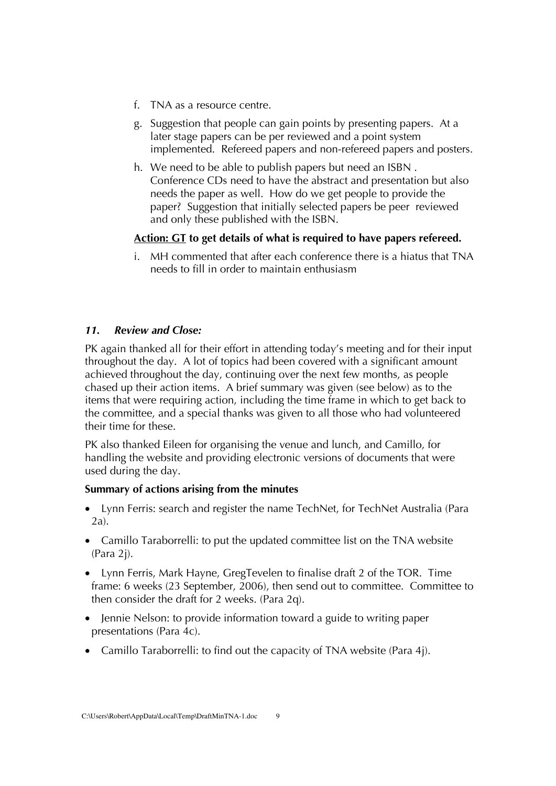- f. TNA as a resource centre.
- g. Suggestion that people can gain points by presenting papers. At a later stage papers can be per reviewed and a point system implemented. Refereed papers and non-refereed papers and posters.
- h. We need to be able to publish papers but need an ISBN . Conference CDs need to have the abstract and presentation but also needs the paper as well. How do we get people to provide the paper? Suggestion that initially selected papers be peer reviewed and only these published with the ISBN.

## **Action: GT to get details of what is required to have papers refereed.**

i. MH commented that after each conference there is a hiatus that TNA needs to fill in order to maintain enthusiasm

## *11. Review and Close:*

PK again thanked all for their effort in attending today's meeting and for their input throughout the day. A lot of topics had been covered with a significant amount achieved throughout the day, continuing over the next few months, as people chased up their action items. A brief summary was given (see below) as to the items that were requiring action, including the time frame in which to get back to the committee, and a special thanks was given to all those who had volunteered their time for these.

PK also thanked Eileen for organising the venue and lunch, and Camillo, for handling the website and providing electronic versions of documents that were used during the day.

### **Summary of actions arising from the minutes**

- Lynn Ferris: search and register the name TechNet, for TechNet Australia (Para 2a).
- Camillo Taraborrelli: to put the updated committee list on the TNA website (Para 2j).
- Lynn Ferris, Mark Hayne, GregTevelen to finalise draft 2 of the TOR. Time frame: 6 weeks (23 September, 2006), then send out to committee. Committee to then consider the draft for 2 weeks. (Para 2q).
- Jennie Nelson: to provide information toward a guide to writing paper presentations (Para 4c).
- Camillo Taraborrelli: to find out the capacity of TNA website (Para 4j).